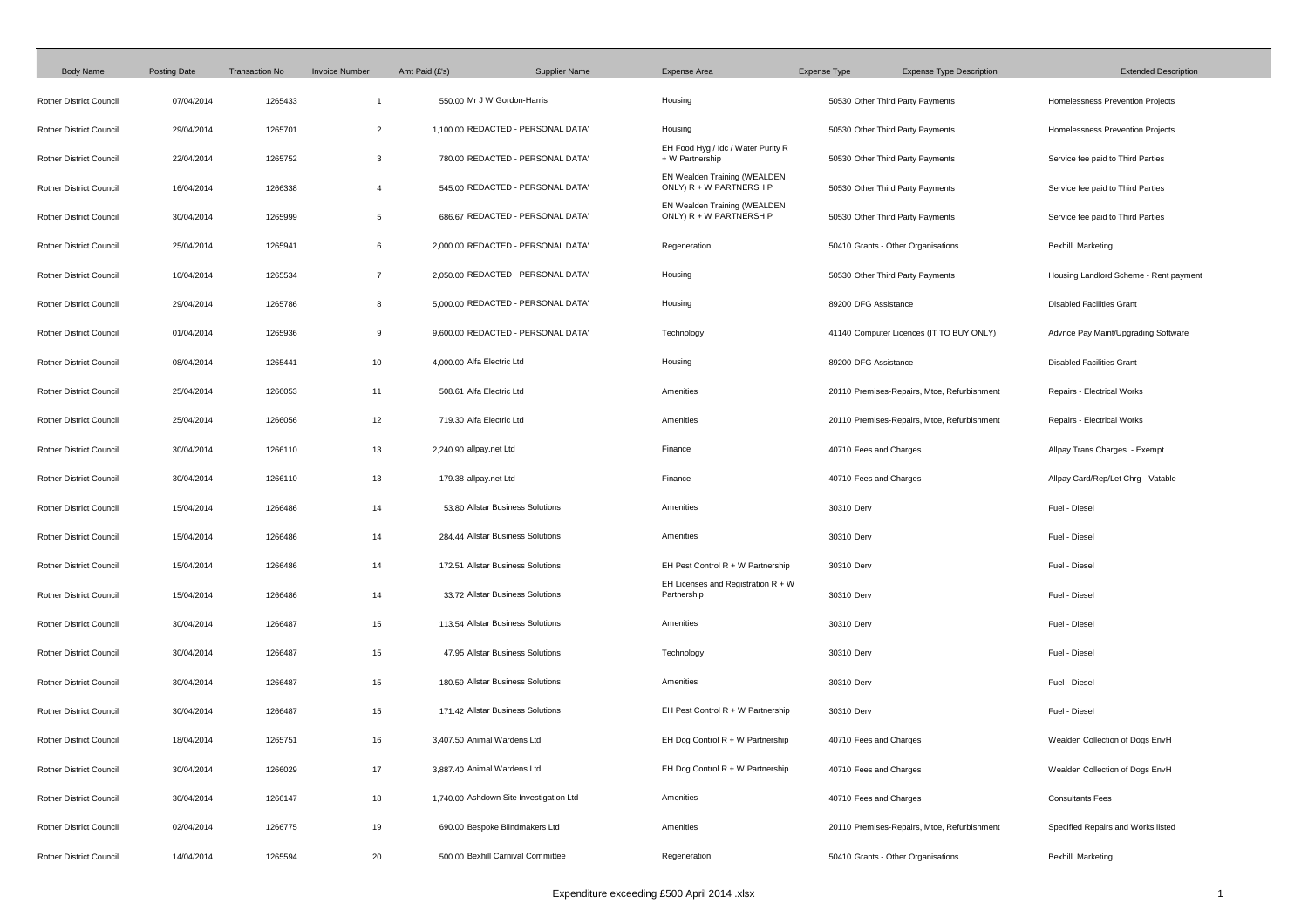| <b>Body Name</b>               | <b>Posting Date</b> | <b>Transaction No</b> | <b>Invoice Number</b> | Amt Paid (£'s)             | <b>Supplier Name</b>                    | <b>Expense Area</b>                                     | <b>Expense Type</b> | <b>Expense Type Description</b>             | <b>Extended Description</b>            |
|--------------------------------|---------------------|-----------------------|-----------------------|----------------------------|-----------------------------------------|---------------------------------------------------------|---------------------|---------------------------------------------|----------------------------------------|
| <b>Rother District Council</b> | 07/04/2014          | 1265433               |                       |                            | 550.00 Mr J W Gordon-Harris             | Housing                                                 |                     | 50530 Other Third Party Payments            | Homelessness Prevention Projects       |
| <b>Rother District Council</b> | 29/04/2014          | 1265701               | 2                     |                            | 1,100.00 REDACTED - PERSONAL DATA'      | Housing                                                 |                     | 50530 Other Third Party Payments            | Homelessness Prevention Projects       |
| <b>Rother District Council</b> | 22/04/2014          | 1265752               | 3                     |                            | 780.00 REDACTED - PERSONAL DATA'        | EH Food Hyg / Idc / Water Purity R<br>+ W Partnership   |                     | 50530 Other Third Party Payments            | Service fee paid to Third Parties      |
| <b>Rother District Council</b> | 16/04/2014          | 1266338               | -4                    |                            | 545.00 REDACTED - PERSONAL DATA'        | EN Wealden Training (WEALDEN<br>ONLY) R + W PARTNERSHIP |                     | 50530 Other Third Party Payments            | Service fee paid to Third Parties      |
| <b>Rother District Council</b> | 30/04/2014          | 1265999               | -5                    |                            | 686.67 REDACTED - PERSONAL DATA'        | EN Wealden Training (WEALDEN<br>ONLY) R + W PARTNERSHIP |                     | 50530 Other Third Party Payments            | Service fee paid to Third Parties      |
| <b>Rother District Council</b> | 25/04/2014          | 1265941               | 6                     |                            | 2.000.00 REDACTED - PERSONAL DATA'      | Regeneration                                            |                     | 50410 Grants - Other Organisations          | <b>Bexhill Marketing</b>               |
| <b>Rother District Council</b> | 10/04/2014          | 1265534               | $\overline{7}$        |                            | 2,050.00 REDACTED - PERSONAL DATA'      | Housing                                                 |                     | 50530 Other Third Party Payments            | Housing Landlord Scheme - Rent payment |
| <b>Rother District Council</b> | 29/04/2014          | 1265786               | 8                     |                            | 5.000.00 REDACTED - PERSONAL DATA'      | Housing                                                 |                     | 89200 DFG Assistance                        | <b>Disabled Facilities Grant</b>       |
| <b>Rother District Council</b> | 01/04/2014          | 1265936               | 9                     |                            | 9,600.00 REDACTED - PERSONAL DATA'      | Technology                                              |                     | 41140 Computer Licences (IT TO BUY ONLY)    | Advnce Pay Maint/Upgrading Software    |
| <b>Rother District Council</b> | 08/04/2014          | 1265441               | 10                    | 4,000.00 Alfa Electric Ltd |                                         | Housing                                                 |                     | 89200 DFG Assistance                        | <b>Disabled Facilities Grant</b>       |
| <b>Rother District Council</b> | 25/04/2014          | 1266053               | 11                    | 508.61 Alfa Electric Ltd   |                                         | Amenities                                               |                     | 20110 Premises-Repairs, Mtce, Refurbishment | Repairs - Electrical Works             |
| <b>Rother District Council</b> | 25/04/2014          | 1266056               | 12                    | 719.30 Alfa Electric Ltd   |                                         | Amenities                                               |                     | 20110 Premises-Repairs, Mtce, Refurbishment | Repairs - Electrical Works             |
| <b>Rother District Council</b> | 30/04/2014          | 1266110               | 13                    | 2,240.90 allpay.net Ltd    |                                         | Finance                                                 |                     | 40710 Fees and Charges                      | Allpay Trans Charges - Exempt          |
| <b>Rother District Council</b> | 30/04/2014          | 1266110               | 13                    | 179.38 allpay.net Ltd      |                                         | Finance                                                 |                     | 40710 Fees and Charges                      | Allpay Card/Rep/Let Chrg - Vatable     |
| <b>Rother District Council</b> | 15/04/2014          | 1266486               | 14                    |                            | 53.80 Allstar Business Solutions        | Amenities                                               | 30310 Derv          |                                             | Fuel - Diesel                          |
| <b>Rother District Council</b> | 15/04/2014          | 1266486               | 14                    |                            | 284.44 Allstar Business Solutions       | Amenities                                               | 30310 Derv          |                                             | Fuel - Diesel                          |
| <b>Rother District Council</b> | 15/04/2014          | 1266486               | 14                    |                            | 172.51 Allstar Business Solutions       | EH Pest Control $R + W$ Partnership                     | 30310 Derv          |                                             | Fuel - Diesel                          |
| <b>Rother District Council</b> | 15/04/2014          | 1266486               | 14                    |                            | 33.72 Allstar Business Solutions        | EH Licenses and Registration $R + W$<br>Partnership     | 30310 Derv          |                                             | Fuel - Diesel                          |
| <b>Rother District Council</b> | 30/04/2014          | 1266487               | 15                    |                            | 113.54 Allstar Business Solutions       | Amenities                                               | 30310 Derv          |                                             | Fuel - Diesel                          |
| <b>Rother District Council</b> | 30/04/2014          | 1266487               | 15                    |                            | 47.95 Allstar Business Solutions        | Technology                                              | 30310 Derv          |                                             | Fuel - Diesel                          |
| <b>Rother District Council</b> | 30/04/2014          | 1266487               | 15                    |                            | 180.59 Allstar Business Solutions       | Amenities                                               | 30310 Derv          |                                             | Fuel - Diesel                          |
| <b>Rother District Council</b> | 30/04/2014          | 1266487               | 15                    |                            | 171.42 Allstar Business Solutions       | EH Pest Control $R + W$ Partnership                     | 30310 Derv          |                                             | Fuel - Diesel                          |
| <b>Rother District Council</b> | 18/04/2014          | 1265751               | 16                    |                            | 3,407.50 Animal Wardens Ltd             | EH Dog Control $R + W$ Partnership                      |                     | 40710 Fees and Charges                      | Wealden Collection of Dogs EnvH        |
| <b>Rother District Council</b> | 30/04/2014          | 1266029               | 17                    |                            | 3,887.40 Animal Wardens Ltd             | EH Dog Control $R + W$ Partnership                      |                     | 40710 Fees and Charges                      | Wealden Collection of Dogs EnvH        |
| <b>Rother District Council</b> | 30/04/2014          | 1266147               | 18                    |                            | 1,740.00 Ashdown Site Investigation Ltd | Amenities                                               |                     | 40710 Fees and Charges                      | <b>Consultants Fees</b>                |
| <b>Rother District Council</b> | 02/04/2014          | 1266775               | 19                    |                            | 690.00 Bespoke Blindmakers Ltd          | Amenities                                               |                     | 20110 Premises-Repairs, Mtce, Refurbishment | Specified Repairs and Works listed     |
| <b>Rother District Council</b> | 14/04/2014          | 1265594               | 20                    |                            | 500.00 Bexhill Carnival Committee       | Regeneration                                            |                     | 50410 Grants - Other Organisations          | <b>Bexhill Marketing</b>               |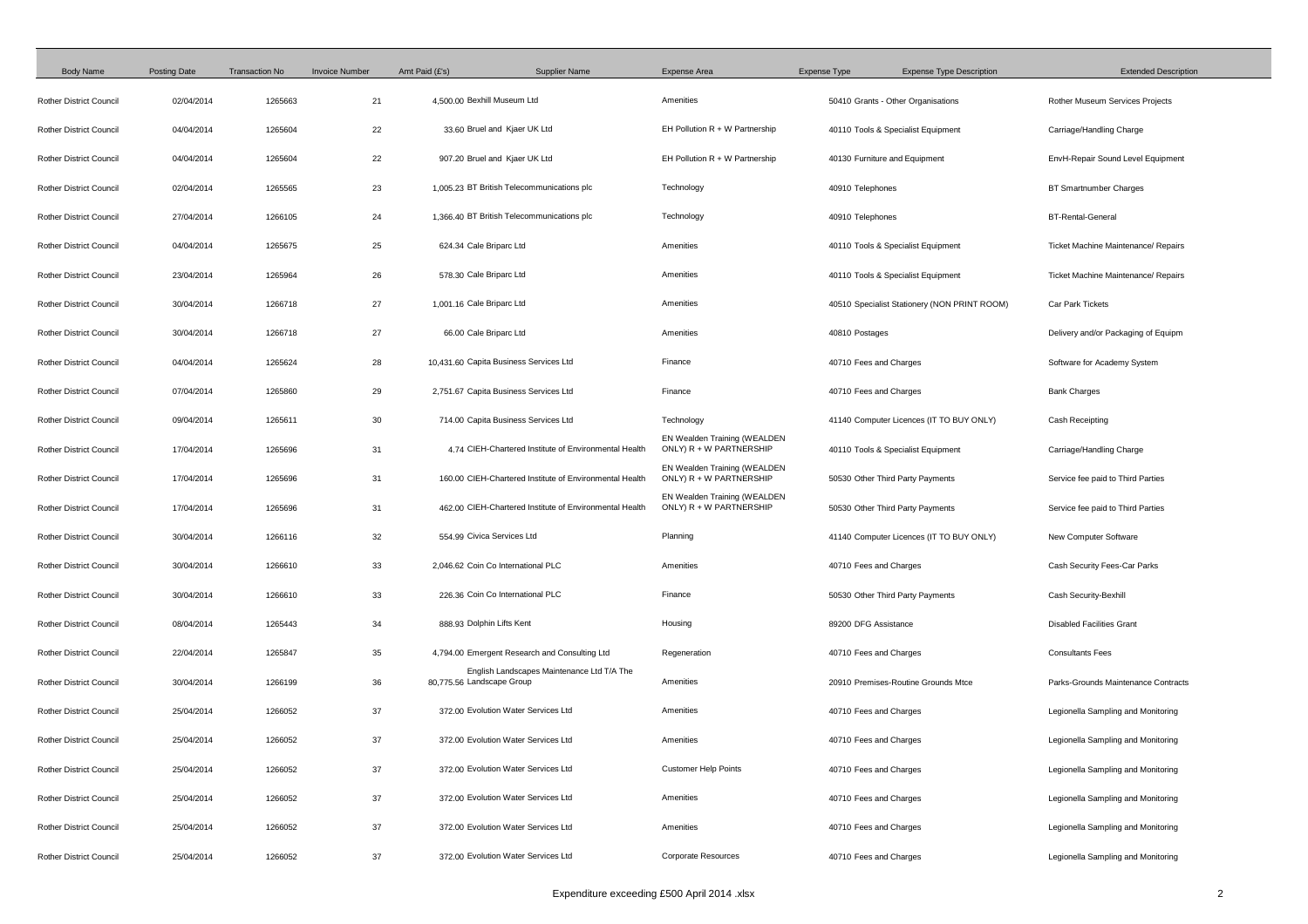| <b>Body Name</b>               | <b>Posting Date</b> | <b>Transaction No</b> | <b>Invoice Number</b> | Amt Paid (£'s)<br><b>Supplier Name</b>                                  | Expense Area                                              | Expense Type                  | <b>Expense Type Description</b>              | <b>Extended Description</b>                |  |
|--------------------------------|---------------------|-----------------------|-----------------------|-------------------------------------------------------------------------|-----------------------------------------------------------|-------------------------------|----------------------------------------------|--------------------------------------------|--|
| <b>Rother District Council</b> | 02/04/2014          | 1265663               | 21                    | 4,500.00 Bexhill Museum Ltd                                             | Amenities                                                 |                               | 50410 Grants - Other Organisations           | Rother Museum Services Projects            |  |
| <b>Rother District Council</b> | 04/04/2014          | 1265604               | 22                    | 33.60 Bruel and Kjaer UK Ltd                                            | EH Pollution $R + W$ Partnership                          |                               | 40110 Tools & Specialist Equipment           | Carriage/Handling Charge                   |  |
| <b>Rother District Council</b> | 04/04/2014          | 1265604               | 22                    | 907.20 Bruel and Kjaer UK Ltd                                           | EH Pollution $R + W$ Partnership                          | 40130 Furniture and Equipment |                                              | EnvH-Repair Sound Level Equipment          |  |
| <b>Rother District Council</b> | 02/04/2014          | 1265565               | 23                    | 1,005.23 BT British Telecommunications plc                              | Technology                                                | 40910 Telephones              |                                              | <b>BT Smartnumber Charges</b>              |  |
| <b>Rother District Council</b> | 27/04/2014          | 1266105               | 24                    | 1,366.40 BT British Telecommunications plc                              | Technology                                                | 40910 Telephones              |                                              | <b>BT-Rental-General</b>                   |  |
| <b>Rother District Council</b> | 04/04/2014          | 1265675               | 25                    | 624.34 Cale Briparc Ltd                                                 | Amenities                                                 |                               | 40110 Tools & Specialist Equipment           | <b>Ticket Machine Maintenance/ Repairs</b> |  |
| <b>Rother District Council</b> | 23/04/2014          | 1265964               | 26                    | 578.30 Cale Briparc Ltd                                                 | Amenities                                                 |                               | 40110 Tools & Specialist Equipment           | Ticket Machine Maintenance/ Repairs        |  |
| <b>Rother District Council</b> | 30/04/2014          | 1266718               | 27                    | 1,001.16 Cale Briparc Ltd                                               | Amenities                                                 |                               | 40510 Specialist Stationery (NON PRINT ROOM) | Car Park Tickets                           |  |
| <b>Rother District Council</b> | 30/04/2014          | 1266718               | 27                    | 66.00 Cale Briparc Ltd                                                  | Amenities                                                 | 40810 Postages                |                                              | Delivery and/or Packaging of Equipm        |  |
| <b>Rother District Council</b> | 04/04/2014          | 1265624               | 28                    | 10,431.60 Capita Business Services Ltd                                  | Finance                                                   | 40710 Fees and Charges        |                                              | Software for Academy System                |  |
| <b>Rother District Council</b> | 07/04/2014          | 1265860               | 29                    | 2,751.67 Capita Business Services Ltd                                   | Finance                                                   | 40710 Fees and Charges        |                                              | <b>Bank Charges</b>                        |  |
| <b>Rother District Council</b> | 09/04/2014          | 1265611               | 30                    | 714.00 Capita Business Services Ltd                                     | Technology                                                |                               | 41140 Computer Licences (IT TO BUY ONLY)     | Cash Receipting                            |  |
| <b>Rother District Council</b> | 17/04/2014          | 1265696               | 31                    | 4.74 CIEH-Chartered Institute of Environmental Health                   | EN Wealden Training (WEALDEN<br>ONLY) $R + W$ PARTNERSHIP |                               | 40110 Tools & Specialist Equipment           | Carriage/Handling Charge                   |  |
| <b>Rother District Council</b> | 17/04/2014          | 1265696               | 31                    | 160.00 CIEH-Chartered Institute of Environmental Health                 | EN Wealden Training (WEALDEN<br>ONLY) R + W PARTNERSHIP   |                               | 50530 Other Third Party Payments             | Service fee paid to Third Parties          |  |
| <b>Rother District Council</b> | 17/04/2014          | 1265696               | 31                    | 462.00 CIEH-Chartered Institute of Environmental Health                 | EN Wealden Training (WEALDEN<br>ONLY) R + W PARTNERSHIP   |                               | 50530 Other Third Party Payments             | Service fee paid to Third Parties          |  |
| <b>Rother District Council</b> | 30/04/2014          | 1266116               | 32                    | 554.99 Civica Services Ltd                                              | Planning                                                  |                               | 41140 Computer Licences (IT TO BUY ONLY)     | New Computer Software                      |  |
| <b>Rother District Council</b> | 30/04/2014          | 1266610               | 33                    | 2,046.62 Coin Co International PLC                                      | Amenities                                                 | 40710 Fees and Charges        |                                              | Cash Security Fees-Car Parks               |  |
| <b>Rother District Council</b> | 30/04/2014          | 1266610               | 33                    | 226.36 Coin Co International PLC                                        | Finance                                                   |                               | 50530 Other Third Party Payments             | Cash Security-Bexhill                      |  |
| <b>Rother District Council</b> | 08/04/2014          | 1265443               | 34                    | 888.93 Dolphin Lifts Kent                                               | Housing                                                   | 89200 DFG Assistance          |                                              | <b>Disabled Facilities Grant</b>           |  |
| <b>Rother District Council</b> | 22/04/2014          | 1265847               | 35                    | 4,794.00 Emergent Research and Consulting Ltd                           | Regeneration                                              | 40710 Fees and Charges        |                                              | <b>Consultants Fees</b>                    |  |
| <b>Rother District Council</b> | 30/04/2014          | 1266199               | 36                    | English Landscapes Maintenance Ltd T/A The<br>80,775.56 Landscape Group | Amenities                                                 |                               | 20910 Premises-Routine Grounds Mtce          | Parks-Grounds Maintenance Contracts        |  |
| <b>Rother District Council</b> | 25/04/2014          | 1266052               | 37                    | 372.00 Evolution Water Services Ltd                                     | Amenities                                                 | 40710 Fees and Charges        |                                              | Legionella Sampling and Monitoring         |  |
| <b>Rother District Council</b> | 25/04/2014          | 1266052               | 37                    | 372.00 Evolution Water Services Ltd                                     | Amenities                                                 | 40710 Fees and Charges        |                                              | Legionella Sampling and Monitoring         |  |
| <b>Rother District Council</b> | 25/04/2014          | 1266052               | 37                    | 372.00 Evolution Water Services Ltd                                     | <b>Customer Help Points</b>                               | 40710 Fees and Charges        |                                              | Legionella Sampling and Monitoring         |  |
| <b>Rother District Council</b> | 25/04/2014          | 1266052               | 37                    | 372.00 Evolution Water Services Ltd                                     | Amenities                                                 | 40710 Fees and Charges        |                                              | Legionella Sampling and Monitoring         |  |
| <b>Rother District Council</b> | 25/04/2014          | 1266052               | 37                    | 372.00 Evolution Water Services Ltd                                     | Amenities                                                 | 40710 Fees and Charges        |                                              | Legionella Sampling and Monitoring         |  |
| <b>Rother District Council</b> | 25/04/2014          | 1266052               | 37                    | 372.00 Evolution Water Services Ltd                                     | Corporate Resources                                       | 40710 Fees and Charges        |                                              | Legionella Sampling and Monitoring         |  |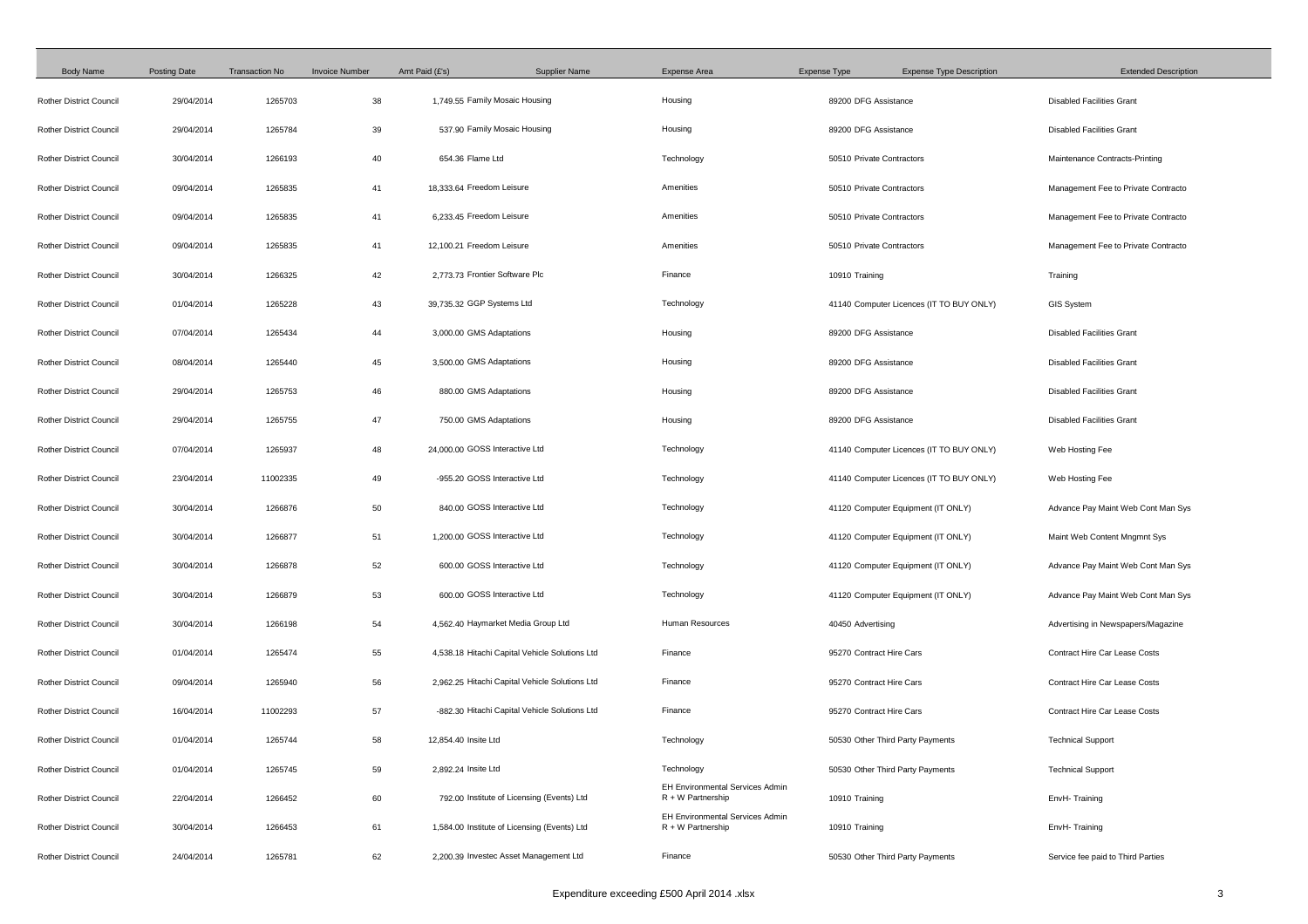| <b>Body Name</b>               | <b>Posting Date</b> | <b>Transaction No</b> | <b>Invoice Number</b> | Amt Paid (£'s)<br><b>Supplier Name</b>         | <b>Expense Area</b>                                           | <b>Expense Type</b><br><b>Expense Type Description</b> | <b>Extended Description</b>          |
|--------------------------------|---------------------|-----------------------|-----------------------|------------------------------------------------|---------------------------------------------------------------|--------------------------------------------------------|--------------------------------------|
| <b>Rother District Council</b> | 29/04/2014          | 1265703               | 38                    | 1,749.55 Family Mosaic Housing                 | Housing                                                       | 89200 DFG Assistance                                   | <b>Disabled Facilities Grant</b>     |
| <b>Rother District Council</b> | 29/04/2014          | 1265784               | 39                    | 537.90 Family Mosaic Housing                   | Housing                                                       | 89200 DFG Assistance                                   | <b>Disabled Facilities Grant</b>     |
| <b>Rother District Council</b> | 30/04/2014          | 1266193               | 40                    | 654.36 Flame Ltd                               | Technology                                                    | 50510 Private Contractors                              | Maintenance Contracts-Printing       |
| <b>Rother District Council</b> | 09/04/2014          | 1265835               | 41                    | 18,333.64 Freedom Leisure                      | Amenities                                                     | 50510 Private Contractors                              | Management Fee to Private Contracto  |
| <b>Rother District Council</b> | 09/04/2014          | 1265835               | 41                    | 6,233.45 Freedom Leisure                       | Amenities                                                     | 50510 Private Contractors                              | Management Fee to Private Contracto  |
| <b>Rother District Council</b> | 09/04/2014          | 1265835               | 41                    | 12,100.21 Freedom Leisure                      | Amenities                                                     | 50510 Private Contractors                              | Management Fee to Private Contracto  |
| <b>Rother District Council</b> | 30/04/2014          | 1266325               | 42                    | 2,773.73 Frontier Software Plc                 | Finance                                                       | 10910 Training                                         | Training                             |
| <b>Rother District Council</b> | 01/04/2014          | 1265228               | 43                    | 39,735.32 GGP Systems Ltd                      | Technology                                                    | 41140 Computer Licences (IT TO BUY ONLY)               | <b>GIS System</b>                    |
| <b>Rother District Council</b> | 07/04/2014          | 1265434               | 44                    | 3,000.00 GMS Adaptations                       | Housing                                                       | 89200 DFG Assistance                                   | <b>Disabled Facilities Grant</b>     |
| <b>Rother District Council</b> | 08/04/2014          | 1265440               | 45                    | 3,500.00 GMS Adaptations                       | Housing                                                       | 89200 DFG Assistance                                   | <b>Disabled Facilities Grant</b>     |
| <b>Rother District Council</b> | 29/04/2014          | 1265753               | 46                    | 880.00 GMS Adaptations                         | Housing                                                       | 89200 DFG Assistance                                   | <b>Disabled Facilities Grant</b>     |
| <b>Rother District Council</b> | 29/04/2014          | 1265755               | 47                    | 750.00 GMS Adaptations                         | Housing                                                       | 89200 DFG Assistance                                   | <b>Disabled Facilities Grant</b>     |
| <b>Rother District Council</b> | 07/04/2014          | 1265937               | 48                    | 24,000.00 GOSS Interactive Ltd                 | Technology                                                    | 41140 Computer Licences (IT TO BUY ONLY)               | Web Hosting Fee                      |
| <b>Rother District Council</b> | 23/04/2014          | 11002335              | 49                    | -955.20 GOSS Interactive Ltd                   | Technology                                                    | 41140 Computer Licences (IT TO BUY ONLY)               | Web Hosting Fee                      |
| <b>Rother District Council</b> | 30/04/2014          | 1266876               | 50                    | 840.00 GOSS Interactive Ltd                    | Technology                                                    | 41120 Computer Equipment (IT ONLY)                     | Advance Pay Maint Web Cont Man Sys   |
| <b>Rother District Council</b> | 30/04/2014          | 1266877               | 51                    | 1,200.00 GOSS Interactive Ltd                  | Technology                                                    | 41120 Computer Equipment (IT ONLY)                     | Maint Web Content Mngmnt Sys         |
| <b>Rother District Council</b> | 30/04/2014          | 1266878               | 52                    | 600.00 GOSS Interactive Ltd                    | Technology                                                    | 41120 Computer Equipment (IT ONLY)                     | Advance Pay Maint Web Cont Man Sys   |
| <b>Rother District Council</b> | 30/04/2014          | 1266879               | 53                    | 600.00 GOSS Interactive Ltd                    | Technology                                                    | 41120 Computer Equipment (IT ONLY)                     | Advance Pay Maint Web Cont Man Sys   |
| <b>Rother District Council</b> | 30/04/2014          | 1266198               | 54                    | 4,562.40 Haymarket Media Group Ltd             | <b>Human Resources</b>                                        | 40450 Advertising                                      | Advertising in Newspapers/Magazine   |
| <b>Rother District Council</b> | 01/04/2014          | 1265474               | 55                    | 4,538.18 Hitachi Capital Vehicle Solutions Ltd | Finance                                                       | 95270 Contract Hire Cars                               | <b>Contract Hire Car Lease Costs</b> |
| <b>Rother District Council</b> | 09/04/2014          | 1265940               | 56                    | 2,962.25 Hitachi Capital Vehicle Solutions Ltd | Finance                                                       | 95270 Contract Hire Cars                               | <b>Contract Hire Car Lease Costs</b> |
| <b>Rother District Council</b> | 16/04/2014          | 11002293              | 57                    | -882.30 Hitachi Capital Vehicle Solutions Ltd  | Finance                                                       | 95270 Contract Hire Cars                               | <b>Contract Hire Car Lease Costs</b> |
| <b>Rother District Council</b> | 01/04/2014          | 1265744               | 58                    | 12,854.40 Insite Ltd                           | Technology                                                    | 50530 Other Third Party Payments                       | <b>Technical Support</b>             |
| <b>Rother District Council</b> | 01/04/2014          | 1265745               | 59                    | 2,892.24 Insite Ltd                            | Technology                                                    | 50530 Other Third Party Payments                       | <b>Technical Support</b>             |
| <b>Rother District Council</b> | 22/04/2014          | 1266452               | 60                    | 792.00 Institute of Licensing (Events) Ltd     | <b>EH Environmental Services Admin</b><br>$R + W$ Partnership | 10910 Training                                         | EnvH-Training                        |
| <b>Rother District Council</b> | 30/04/2014          | 1266453               | 61                    | 1,584.00 Institute of Licensing (Events) Ltd   | <b>EH Environmental Services Admin</b><br>R + W Partnership   | 10910 Training                                         | EnvH-Training                        |
| <b>Rother District Council</b> | 24/04/2014          | 1265781               | 62                    | 2,200.39 Investec Asset Management Ltd         | Finance                                                       | 50530 Other Third Party Payments                       | Service fee paid to Third Parties    |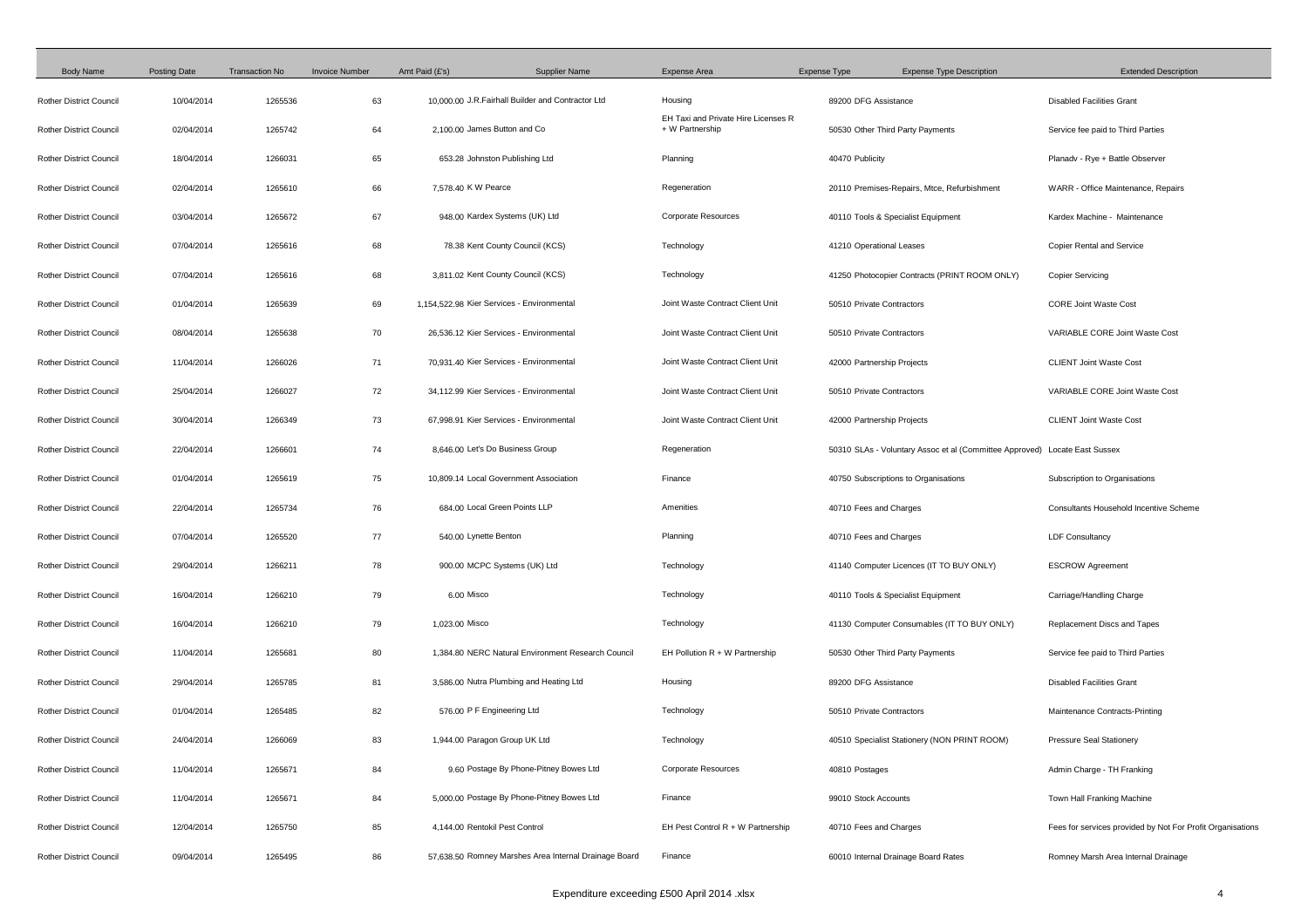| <b>Body Name</b>               | <b>Posting Date</b> | <b>Transaction No</b> | <b>Invoice Number</b> | Amt Paid (£'s)<br><b>Supplier Name</b>                | <b>Expense Area</b>                                    | <b>Expense Type</b>        | <b>Expense Type Description</b>                                            | <b>Extended Description</b>                                |
|--------------------------------|---------------------|-----------------------|-----------------------|-------------------------------------------------------|--------------------------------------------------------|----------------------------|----------------------------------------------------------------------------|------------------------------------------------------------|
| <b>Rother District Council</b> | 10/04/2014          | 1265536               | 63                    | 10,000.00 J.R.Fairhall Builder and Contractor Ltd     | Housing                                                | 89200 DFG Assistance       |                                                                            | <b>Disabled Facilities Grant</b>                           |
| <b>Rother District Council</b> | 02/04/2014          | 1265742               | 64                    | 2.100.00 James Button and Co                          | EH Taxi and Private Hire Licenses R<br>+ W Partnership |                            | 50530 Other Third Party Payments                                           | Service fee paid to Third Parties                          |
| <b>Rother District Council</b> | 18/04/2014          | 1266031               | 65                    | 653.28 Johnston Publishing Ltd                        | Planning                                               | 40470 Publicity            |                                                                            | Planadv - Rye + Battle Observer                            |
| <b>Rother District Council</b> | 02/04/2014          | 1265610               | 66                    | 7,578.40 K W Pearce                                   | Regeneration                                           |                            | 20110 Premises-Repairs, Mtce, Refurbishment                                | WARR - Office Maintenance, Repairs                         |
| <b>Rother District Council</b> | 03/04/2014          | 1265672               | 67                    | 948.00 Kardex Systems (UK) Ltd                        | <b>Corporate Resources</b>                             |                            | 40110 Tools & Specialist Equipment                                         | Kardex Machine - Maintenance                               |
| <b>Rother District Council</b> | 07/04/2014          | 1265616               | 68                    | 78.38 Kent County Council (KCS)                       | Technology                                             | 41210 Operational Leases   |                                                                            | <b>Copier Rental and Service</b>                           |
| <b>Rother District Council</b> | 07/04/2014          | 1265616               | 68                    | 3,811.02 Kent County Council (KCS)                    | Technology                                             |                            | 41250 Photocopier Contracts (PRINT ROOM ONLY)                              | <b>Copier Servicing</b>                                    |
| <b>Rother District Council</b> | 01/04/2014          | 1265639               | 69                    | 1,154,522.98 Kier Services - Environmental            | Joint Waste Contract Client Unit                       | 50510 Private Contractors  |                                                                            | <b>CORE Joint Waste Cost</b>                               |
| <b>Rother District Council</b> | 08/04/2014          | 1265638               | 70                    | 26,536.12 Kier Services - Environmental               | Joint Waste Contract Client Unit                       | 50510 Private Contractors  |                                                                            | <b>VARIABLE CORE Joint Waste Cost</b>                      |
| <b>Rother District Council</b> | 11/04/2014          | 1266026               | 71                    | 70,931.40 Kier Services - Environmental               | Joint Waste Contract Client Unit                       | 42000 Partnership Projects |                                                                            | <b>CLIENT Joint Waste Cost</b>                             |
| <b>Rother District Council</b> | 25/04/2014          | 1266027               | 72                    | 34,112.99 Kier Services - Environmental               | Joint Waste Contract Client Unit                       | 50510 Private Contractors  |                                                                            | <b>VARIABLE CORE Joint Waste Cost</b>                      |
| <b>Rother District Council</b> | 30/04/2014          | 1266349               | 73                    | 67,998.91 Kier Services - Environmental               | Joint Waste Contract Client Unit                       | 42000 Partnership Projects |                                                                            | <b>CLIENT Joint Waste Cost</b>                             |
| <b>Rother District Council</b> | 22/04/2014          | 1266601               | 74                    | 8,646.00 Let's Do Business Group                      | Regeneration                                           |                            | 50310 SLAs - Voluntary Assoc et al (Committee Approved) Locate East Sussex |                                                            |
| <b>Rother District Council</b> | 01/04/2014          | 1265619               | 75                    | 10.809.14 Local Government Association                | Finance                                                |                            | 40750 Subscriptions to Organisations                                       | Subscription to Organisations                              |
| <b>Rother District Council</b> | 22/04/2014          | 1265734               | 76                    | 684.00 Local Green Points LLP                         | Amenities                                              | 40710 Fees and Charges     |                                                                            | Consultants Household Incentive Scheme                     |
| <b>Rother District Council</b> | 07/04/2014          | 1265520               | 77                    | 540.00 Lynette Benton                                 | Planning                                               | 40710 Fees and Charges     |                                                                            | <b>LDF Consultancy</b>                                     |
| <b>Rother District Council</b> | 29/04/2014          | 1266211               | 78                    | 900.00 MCPC Systems (UK) Ltd                          | Technology                                             |                            | 41140 Computer Licences (IT TO BUY ONLY)                                   | <b>ESCROW Agreement</b>                                    |
| <b>Rother District Council</b> | 16/04/2014          | 1266210               | 79                    | 6.00 Misco                                            | Technology                                             |                            | 40110 Tools & Specialist Equipment                                         | Carriage/Handling Charge                                   |
| <b>Rother District Council</b> | 16/04/2014          | 1266210               | 79                    | 1,023.00 Misco                                        | Technology                                             |                            | 41130 Computer Consumables (IT TO BUY ONLY)                                | Replacement Discs and Tapes                                |
| <b>Rother District Council</b> | 11/04/2014          | 1265681               | 80                    | 1,384.80 NERC Natural Environment Research Council    | EH Pollution $R + W$ Partnership                       |                            | 50530 Other Third Party Payments                                           | Service fee paid to Third Parties                          |
| <b>Rother District Council</b> | 29/04/2014          | 1265785               | 81                    | 3,586.00 Nutra Plumbing and Heating Ltd               | Housing                                                | 89200 DFG Assistance       |                                                                            | <b>Disabled Facilities Grant</b>                           |
| <b>Rother District Council</b> | 01/04/2014          | 1265485               | 82                    | 576.00 P F Engineering Ltd                            | Technology                                             | 50510 Private Contractors  |                                                                            | Maintenance Contracts-Printing                             |
| <b>Rother District Council</b> | 24/04/2014          | 1266069               | 83                    | 1,944.00 Paragon Group UK Ltd                         | Technology                                             |                            | 40510 Specialist Stationery (NON PRINT ROOM)                               | <b>Pressure Seal Stationery</b>                            |
| <b>Rother District Council</b> | 11/04/2014          | 1265671               | 84                    | 9.60 Postage By Phone-Pitney Bowes Ltd                | <b>Corporate Resources</b>                             | 40810 Postages             |                                                                            | Admin Charge - TH Franking                                 |
| <b>Rother District Council</b> | 11/04/2014          | 1265671               | 84                    | 5,000.00 Postage By Phone-Pitney Bowes Ltd            | Finance                                                | 99010 Stock Accounts       |                                                                            | Town Hall Franking Machine                                 |
| <b>Rother District Council</b> | 12/04/2014          | 1265750               | 85                    | 4,144.00 Rentokil Pest Control                        | EH Pest Control $R + W$ Partnership                    | 40710 Fees and Charges     |                                                                            | Fees for services provided by Not For Profit Organisations |
| <b>Rother District Council</b> | 09/04/2014          | 1265495               | 86                    | 57,638.50 Romney Marshes Area Internal Drainage Board | Finance                                                |                            | 60010 Internal Drainage Board Rates                                        | Romney Marsh Area Internal Drainage                        |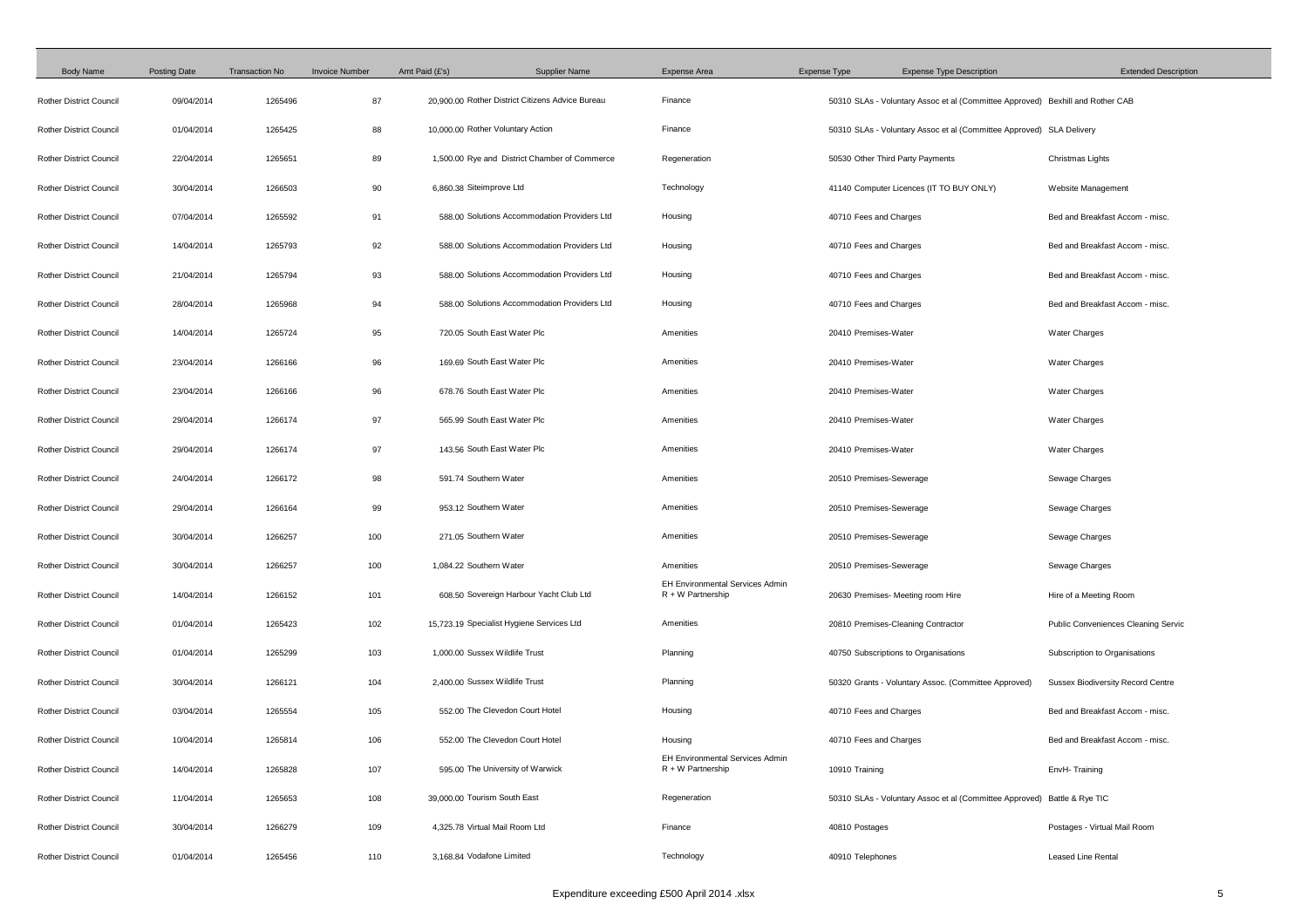| <b>Body Name</b>               | <b>Posting Date</b> | <b>Transaction No</b> | <b>Invoice Number</b> | Amt Paid (£'s)<br><b>Supplier Name</b>           | <b>Expense Area</b>                                           | <b>Expense Type</b>     | <b>Expense Type Description</b>                                                | <b>Extended Description</b>                |
|--------------------------------|---------------------|-----------------------|-----------------------|--------------------------------------------------|---------------------------------------------------------------|-------------------------|--------------------------------------------------------------------------------|--------------------------------------------|
| <b>Rother District Council</b> | 09/04/2014          | 1265496               | 87                    | 20,900.00 Rother District Citizens Advice Bureau | Finance                                                       |                         | 50310 SLAs - Voluntary Assoc et al (Committee Approved) Bexhill and Rother CAB |                                            |
| <b>Rother District Council</b> | 01/04/2014          | 1265425               | 88                    | 10,000.00 Rother Voluntary Action                | Finance                                                       |                         | 50310 SLAs - Voluntary Assoc et al (Committee Approved) SLA Delivery           |                                            |
| <b>Rother District Council</b> | 22/04/2014          | 1265651               | 89                    | 1,500.00 Rye and District Chamber of Commerce    | Regeneration                                                  |                         | 50530 Other Third Party Payments                                               | Christmas Lights                           |
| <b>Rother District Council</b> | 30/04/2014          | 1266503               | 90                    | 6,860.38 Siteimprove Ltd                         | Technology                                                    |                         | 41140 Computer Licences (IT TO BUY ONLY)                                       | Website Management                         |
| <b>Rother District Council</b> | 07/04/2014          | 1265592               | 91                    | 588.00 Solutions Accommodation Providers Ltd     | Housing                                                       | 40710 Fees and Charges  |                                                                                | Bed and Breakfast Accom - misc.            |
| <b>Rother District Council</b> | 14/04/2014          | 1265793               | 92                    | 588.00 Solutions Accommodation Providers Ltd     | Housing                                                       | 40710 Fees and Charges  |                                                                                | Bed and Breakfast Accom - misc.            |
| <b>Rother District Council</b> | 21/04/2014          | 1265794               | 93                    | 588.00 Solutions Accommodation Providers Ltd     | Housing                                                       | 40710 Fees and Charges  |                                                                                | Bed and Breakfast Accom - misc.            |
| <b>Rother District Council</b> | 28/04/2014          | 1265968               | 94                    | 588.00 Solutions Accommodation Providers Ltd     | Housing                                                       | 40710 Fees and Charges  |                                                                                | Bed and Breakfast Accom - misc.            |
| <b>Rother District Council</b> | 14/04/2014          | 1265724               | 95                    | 720.05 South East Water Plc                      | Amenities                                                     | 20410 Premises-Water    |                                                                                | <b>Water Charges</b>                       |
| <b>Rother District Council</b> | 23/04/2014          | 1266166               | 96                    | 169.69 South East Water Plc                      | Amenities                                                     | 20410 Premises-Water    |                                                                                | <b>Water Charges</b>                       |
| <b>Rother District Council</b> | 23/04/2014          | 1266166               | 96                    | 678.76 South East Water Plc                      | Amenities                                                     | 20410 Premises-Water    |                                                                                | <b>Water Charges</b>                       |
| <b>Rother District Council</b> | 29/04/2014          | 1266174               | 97                    | 565.99 South East Water Plc                      | Amenities                                                     | 20410 Premises-Water    |                                                                                | <b>Water Charges</b>                       |
| <b>Rother District Council</b> | 29/04/2014          | 1266174               | 97                    | 143.56 South East Water Plc                      | Amenities                                                     | 20410 Premises-Water    |                                                                                | <b>Water Charges</b>                       |
| <b>Rother District Council</b> | 24/04/2014          | 1266172               | 98                    | 591.74 Southern Water                            | Amenities                                                     | 20510 Premises-Sewerage |                                                                                | Sewage Charges                             |
| <b>Rother District Council</b> | 29/04/2014          | 1266164               | 99                    | 953.12 Southern Water                            | Amenities                                                     | 20510 Premises-Sewerage |                                                                                | Sewage Charges                             |
| <b>Rother District Council</b> | 30/04/2014          | 1266257               | 100                   | 271.05 Southern Water                            | Amenities                                                     | 20510 Premises-Sewerage |                                                                                | Sewage Charges                             |
| <b>Rother District Council</b> | 30/04/2014          | 1266257               | 100                   | 1,084.22 Southern Water                          | Amenities                                                     | 20510 Premises-Sewerage |                                                                                | Sewage Charges                             |
| <b>Rother District Council</b> | 14/04/2014          | 1266152               | 101                   | 608.50 Sovereign Harbour Yacht Club Ltd          | <b>EH Environmental Services Admin</b><br>$R + W$ Partnership |                         | 20630 Premises- Meeting room Hire                                              | Hire of a Meeting Room                     |
| <b>Rother District Council</b> | 01/04/2014          | 1265423               | 102                   | 15,723.19 Specialist Hygiene Services Ltd        | Amenities                                                     |                         | 20810 Premises-Cleaning Contractor                                             | <b>Public Conveniences Cleaning Servic</b> |
| <b>Rother District Council</b> | 01/04/2014          | 1265299               | 103                   | 1,000.00 Sussex Wildlife Trust                   | Planning                                                      |                         | 40750 Subscriptions to Organisations                                           | Subscription to Organisations              |
| <b>Rother District Council</b> | 30/04/2014          | 1266121               | 104                   | 2,400.00 Sussex Wildlife Trust                   | Planning                                                      |                         | 50320 Grants - Voluntary Assoc. (Committee Approved)                           | <b>Sussex Biodiversity Record Centre</b>   |
| <b>Rother District Council</b> | 03/04/2014          | 1265554               | 105                   | 552.00 The Clevedon Court Hotel                  | Housing                                                       | 40710 Fees and Charges  |                                                                                | Bed and Breakfast Accom - misc.            |
| <b>Rother District Council</b> | 10/04/2014          | 1265814               | 106                   | 552.00 The Clevedon Court Hotel                  | Housing                                                       | 40710 Fees and Charges  |                                                                                | Bed and Breakfast Accom - misc.            |
| <b>Rother District Council</b> | 14/04/2014          | 1265828               | 107                   | 595.00 The University of Warwick                 | <b>EH Environmental Services Admin</b><br>$R + W$ Partnership | 10910 Training          |                                                                                | EnvH-Training                              |
| <b>Rother District Council</b> | 11/04/2014          | 1265653               | 108                   | 39,000.00 Tourism South East                     | Regeneration                                                  |                         | 50310 SLAs - Voluntary Assoc et al (Committee Approved) Battle & Rye TIC       |                                            |
| <b>Rother District Council</b> | 30/04/2014          | 1266279               | 109                   | 4.325.78 Virtual Mail Room Ltd                   | Finance                                                       | 40810 Postages          |                                                                                | Postages - Virtual Mail Room               |
| <b>Rother District Council</b> | 01/04/2014          | 1265456               | 110                   | 3,168.84 Vodafone Limited                        | Technology                                                    | 40910 Telephones        |                                                                                | Leased Line Rental                         |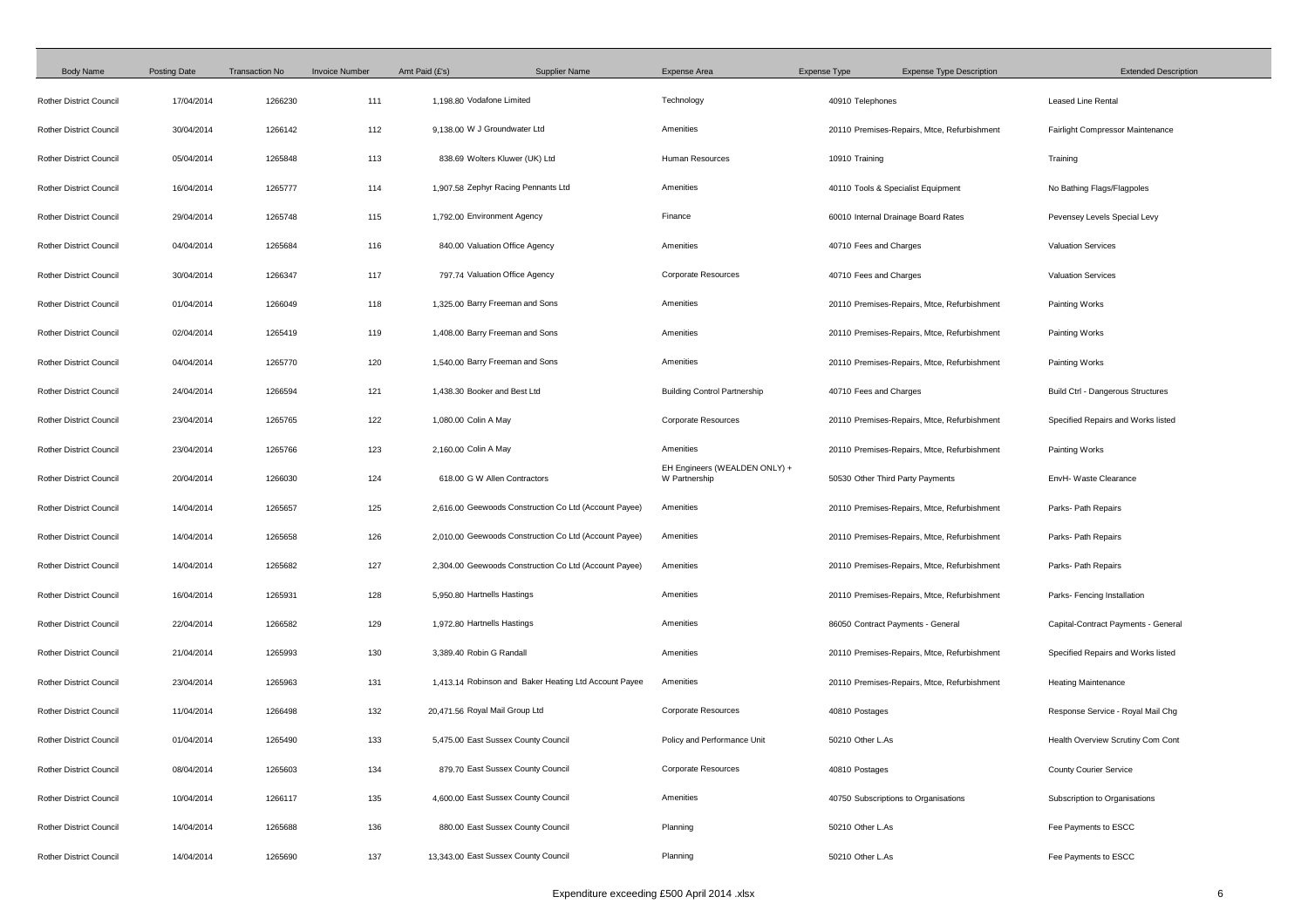| <b>Body Name</b>               | <b>Posting Date</b> | <b>Transaction No</b> | <b>Invoice Number</b> | Amt Paid (£'s)<br><b>Supplier Name</b>                | <b>Expense Area</b>                            | <b>Expense Type</b>    | <b>Expense Type Description</b>             | <b>Extended Description</b>              |
|--------------------------------|---------------------|-----------------------|-----------------------|-------------------------------------------------------|------------------------------------------------|------------------------|---------------------------------------------|------------------------------------------|
| <b>Rother District Council</b> | 17/04/2014          | 1266230               | 111                   | 1,198.80 Vodafone Limited                             | Technology                                     | 40910 Telephones       |                                             | <b>Leased Line Rental</b>                |
| <b>Rother District Council</b> | 30/04/2014          | 1266142               | 112                   | 9.138.00 W J Groundwater Ltd                          | Amenities                                      |                        | 20110 Premises-Repairs, Mtce, Refurbishment | <b>Fairlight Compressor Maintenance</b>  |
| <b>Rother District Council</b> | 05/04/2014          | 1265848               | 113                   | 838.69 Wolters Kluwer (UK) Ltd                        | Human Resources                                | 10910 Training         |                                             | Training                                 |
| <b>Rother District Council</b> | 16/04/2014          | 1265777               | 114                   | 1,907.58 Zephyr Racing Pennants Ltd                   | Amenities                                      |                        | 40110 Tools & Specialist Equipment          | No Bathing Flags/Flagpoles               |
| <b>Rother District Council</b> | 29/04/2014          | 1265748               | 115                   | 1,792.00 Environment Agency                           | Finance                                        |                        | 60010 Internal Drainage Board Rates         | Pevensey Levels Special Levy             |
| <b>Rother District Council</b> | 04/04/2014          | 1265684               | 116                   | 840.00 Valuation Office Agency                        | Amenities                                      | 40710 Fees and Charges |                                             | <b>Valuation Services</b>                |
| <b>Rother District Council</b> | 30/04/2014          | 1266347               | 117                   | 797.74 Valuation Office Agency                        | <b>Corporate Resources</b>                     | 40710 Fees and Charges |                                             | <b>Valuation Services</b>                |
| <b>Rother District Council</b> | 01/04/2014          | 1266049               | 118                   | 1,325.00 Barry Freeman and Sons                       | Amenities                                      |                        | 20110 Premises-Repairs, Mtce, Refurbishment | <b>Painting Works</b>                    |
| <b>Rother District Council</b> | 02/04/2014          | 1265419               | 119                   | 1,408.00 Barry Freeman and Sons                       | Amenities                                      |                        | 20110 Premises-Repairs, Mtce, Refurbishment | Painting Works                           |
| <b>Rother District Council</b> | 04/04/2014          | 1265770               | 120                   | 1,540.00 Barry Freeman and Sons                       | Amenities                                      |                        | 20110 Premises-Repairs, Mtce, Refurbishment | Painting Works                           |
| <b>Rother District Council</b> | 24/04/2014          | 1266594               | 121                   | 1.438.30 Booker and Best Ltd                          | <b>Building Control Partnership</b>            | 40710 Fees and Charges |                                             | <b>Build Ctrl - Dangerous Structures</b> |
| <b>Rother District Council</b> | 23/04/2014          | 1265765               | 122                   | 1,080.00 Colin A May                                  | <b>Corporate Resources</b>                     |                        | 20110 Premises-Repairs, Mtce, Refurbishment | Specified Repairs and Works listed       |
| <b>Rother District Council</b> | 23/04/2014          | 1265766               | 123                   | 2,160.00 Colin A May                                  | Amenities                                      |                        | 20110 Premises-Repairs, Mtce, Refurbishment | Painting Works                           |
| <b>Rother District Council</b> | 20/04/2014          | 1266030               | 124                   | 618.00 G W Allen Contractors                          | EH Engineers (WEALDEN ONLY) +<br>W Partnership |                        | 50530 Other Third Party Payments            | EnvH- Waste Clearance                    |
| <b>Rother District Council</b> | 14/04/2014          | 1265657               | 125                   | 2,616.00 Geewoods Construction Co Ltd (Account Payee) | Amenities                                      |                        | 20110 Premises-Repairs, Mtce, Refurbishment | Parks- Path Repairs                      |
| <b>Rother District Council</b> | 14/04/2014          | 1265658               | 126                   | 2,010.00 Geewoods Construction Co Ltd (Account Payee) | Amenities                                      |                        | 20110 Premises-Repairs, Mtce, Refurbishment | Parks- Path Repairs                      |
| <b>Rother District Council</b> | 14/04/2014          | 1265682               | 127                   | 2,304.00 Geewoods Construction Co Ltd (Account Payee) | Amenities                                      |                        | 20110 Premises-Repairs, Mtce, Refurbishment | Parks- Path Repairs                      |
| <b>Rother District Council</b> | 16/04/2014          | 1265931               | 128                   | 5,950.80 Hartnells Hastings                           | Amenities                                      |                        | 20110 Premises-Repairs, Mtce, Refurbishment | Parks- Fencing Installation              |
| <b>Rother District Council</b> | 22/04/2014          | 1266582               | 129                   | 1,972.80 Hartnells Hastings                           | Amenities                                      |                        | 86050 Contract Payments - General           | Capital-Contract Payments - General      |
| <b>Rother District Council</b> | 21/04/2014          | 1265993               | 130                   | 3,389.40 Robin G Randall                              | Amenities                                      |                        | 20110 Premises-Repairs, Mtce, Refurbishment | Specified Repairs and Works listed       |
| <b>Rother District Council</b> | 23/04/2014          | 1265963               | 131                   | 1,413.14 Robinson and Baker Heating Ltd Account Payee | Amenities                                      |                        | 20110 Premises-Repairs, Mtce, Refurbishment | <b>Heating Maintenance</b>               |
| <b>Rother District Council</b> | 11/04/2014          | 1266498               | 132                   | 20,471.56 Royal Mail Group Ltd                        | <b>Corporate Resources</b>                     | 40810 Postages         |                                             | Response Service - Royal Mail Chg        |
| <b>Rother District Council</b> | 01/04/2014          | 1265490               | 133                   | 5,475.00 East Sussex County Council                   | Policy and Performance Unit                    | 50210 Other L.As       |                                             | Health Overview Scrutiny Com Cont        |
| <b>Rother District Council</b> | 08/04/2014          | 1265603               | 134                   | 879.70 East Sussex County Council                     | <b>Corporate Resources</b>                     | 40810 Postages         |                                             | <b>County Courier Service</b>            |
| <b>Rother District Council</b> | 10/04/2014          | 1266117               | 135                   | 4,600.00 East Sussex County Council                   | Amenities                                      |                        | 40750 Subscriptions to Organisations        | Subscription to Organisations            |
| <b>Rother District Council</b> | 14/04/2014          | 1265688               | 136                   | 880.00 East Sussex County Council                     | Planning                                       | 50210 Other L.As       |                                             | Fee Payments to ESCC                     |
| <b>Rother District Council</b> | 14/04/2014          | 1265690               | 137                   | 13,343.00 East Sussex County Council                  | Planning                                       | 50210 Other L.As       |                                             | Fee Payments to ESCC                     |